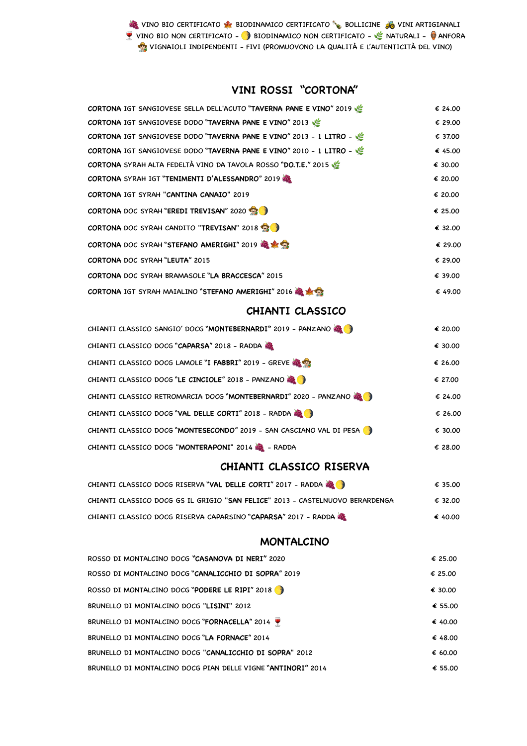**&** VINO BIO CERTIFICATO **A BIODINAMICO CERTIFICATO BOLLICINE o** VINI ARTIGIANALI VINO BIO NON CERTIFICATO -  $\bigcirc$  BIODINAMICO NON CERTIFICATO -  $\bigcirc$  NATURALI -  $\bigcirc$  ANFORA VIGNAIOLI INDIPENDENTI - FIVI (PROMUOVONO LA QUALITÀ E L'AUTENTICITÀ DEL VINO)

### **VINI ROSSI "CORTONA"**

| CORTONA IGT SANGIOVESE SELLA DELL'ACUTO "TAVERNA PANE E VINO" 2019            | € 24.00 |
|-------------------------------------------------------------------------------|---------|
| CORTONA IGT SANGIOVESE DODO "TAVERNA PANE E VINO" 2013                        | € 29.00 |
| CORTONA IGT SANGIOVESE DODO "TAVERNA PANE E VINO" 2013 - 1 LITRO - W          | € 37.00 |
| CORTONA IGT SANGIOVESE DODO "TAVERNA PANE E VINO" 2010 - 1 LITRO -            | € 45.00 |
| CORTONA SYRAH ALTA FEDELTÀ VINO DA TAVOLA ROSSO "DO.T.E." 2015                | € 30.00 |
| CORTONA SYRAH IGT "TENIMENTI D'ALESSANDRO" 2019                               | € 20.00 |
| CORTONA IGT SYRAH "CANTINA CANAIO" 2019                                       | € 20.00 |
| <b>CORTONA DOC SYRAH "EREDI TREVISAN" 2020</b>                                | € 25.00 |
| CORTONA DOC SYRAH CANDITO "TREVISAN" 2018                                     | € 32.00 |
| CORTONA DOC SYRAH "STEFANO AMERIGHI" 2019 4 米全                                | € 29.00 |
| CORTONA DOC SYRAH "LEUTA" 2015                                                | € 29.00 |
| CORTONA DOC SYRAH BRAMASOLE "LA BRACCESCA" 2015                               | € 39.00 |
| CORTONA IGT SYRAH MAIALINO "STEFANO AMERIGHI" 2016 4 米全                       | € 49.00 |
| <b>CHIANTI CLASSICO</b>                                                       |         |
| CHIANTI CLASSICO SANGIO' DOCG "MONTEBERNARDI" 2019 - PANZANO                  | € 20.00 |
| CHIANTI CLASSICO DOCG "CAPARSA" 2018 - RADDA                                  | € 30.00 |
| CHIANTI CLASSICO DOCG LAMOLE "I FABBRI" 2019 - GREVE &                        | € 26.00 |
| CHIANTI CLASSICO DOCG "LE CINCIOLE" 2018 - PANZANO                            | € 27.00 |
| CHIANTI CLASSICO RETROMARCIA DOCG "MONTEBERNARDI" 2020 - PANZANO              | € 24.00 |
| CHIANTI CLASSICO DOCG "VAL DELLE CORTI" 2018 - RADDA                          | € 26.00 |
| CHIANTI CLASSICO DOCG "MONTESECONDO" 2019 - SAN CASCIANO VAL DI PESA          | € 30.00 |
| CHIANTI CLASSICO DOCG "MONTERAPONI" 2014 2 - RADDA                            | € 28.00 |
| CHIANTI CLASSICO RISERVA                                                      |         |
| CHIANTI CLASSICO DOCG RISERVA "VAL DELLE CORTI" 2017 - RADDA                  | € 35.00 |
| CHIANTI CLASSICO DOCG GS IL GRIGIO "SAN FELICE" 2013 - CASTELNUOVO BERARDENGA | € 32.00 |
| CHIANTI CLASSICO DOCG RISERVA CAPARSINO "CAPARSA" 2017 - RADDA                | € 40.00 |
| <b>MONTALCINO</b>                                                             |         |
| ROSSO DI MONTALCINO DOCG "CASANOVA DI NERI" 2020                              | € 25.00 |
| ROSSO DI MONTALCINO DOCG "CANALICCHIO DI SOPRA" 2019                          | € 25.00 |
| ROSSO DI MONTALCINO DOCG "PODERE LE RIPI" 2018                                | € 30.00 |
| BRUNELLO DI MONTALCINO DOCG "LISINI" 2012                                     | € 55.00 |
| BRUNELLO DI MONTALCINO DOCG "FORNACELLA" 2014                                 | € 40.00 |
| BRUNELLO DI MONTALCINO DOCG "LA FORNACE" 2014                                 | € 48.00 |
| BRUNELLO DI MONTALCINO DOCG "CANALICCHIO DI SOPRA" 2012                       | € 60.00 |
| BRUNELLO DI MONTALCINO DOCG PIAN DELLE VIGNE "ANTINORI" 2014                  | € 55.00 |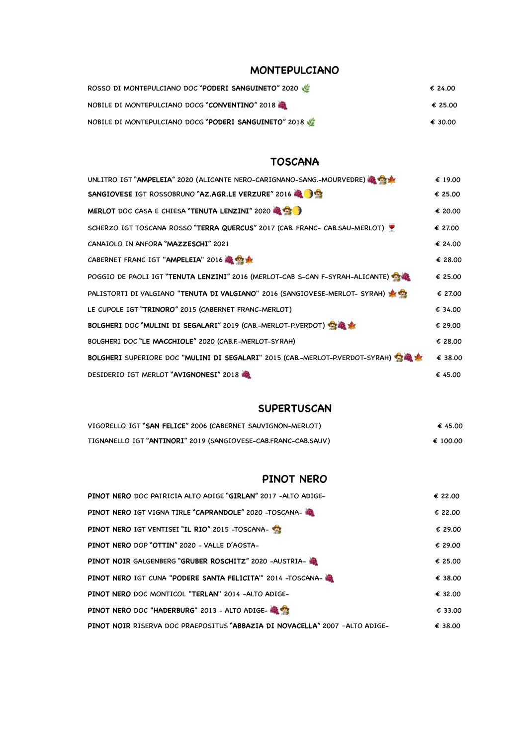#### **MONTEPULCIANO**

| ROSSO DI MONTEPULCIANO DOC "PODERI SANGUINETO" 2020   | € 24.00 |
|-------------------------------------------------------|---------|
| NOBILE DI MONTEPULCIANO DOCG "CONVENTINO" 2018        | € 25.00 |
| NOBILE DI MONTEPULCIANO DOCG "PODERI SANGUINETO" 2018 | € 30.00 |

#### **TOSCANA**

| UNLITRO IGT "AMPELEIA" 2020 (ALICANTE NERO-CARIGNANO-SANG.-MOURVEDRE)         | € 19.00 |
|-------------------------------------------------------------------------------|---------|
| SANGIOVESE IGT ROSSOBRUNO "AZ.AGR.LE VERZURE" 2016                            | € 25.00 |
| MERLOT DOC CASA E CHIESA "TENUTA LENZINI" 2020                                | € 20.00 |
| SCHERZO IGT TOSCANA ROSSO "TERRA QUERCUS" 2017 (CAB. FRANC- CAB.SAU-MERLOT)   | € 27.00 |
| CANAIOLO IN ANFORA "MAZZESCHI" 2021                                           | € 24.00 |
| CABERNET FRANC IGT "AMPELEIA" 2016                                            | € 28.00 |
| POGGIO DE PAOLI IGT "TENUTA LENZINI" 2016 (MERLOT-CAB S-CAN F-SYRAH-ALICANTE) | € 25.00 |
| PALISTORTI DI VALGIANO "TENUTA DI VALGIANO" 2016 (SANGIOVESE-MERLOT- SYRAH)   | € 27.00 |
| LE CUPOLE IGT "TRINORO" 2015 (CABERNET FRANC-MERLOT)                          | € 34.00 |
| BOLGHERI DOC "MULINI DI SEGALARI" 2019 (CAB.-MERLOT-P.VERDOT)                 | € 29.00 |
| BOLGHERI DOC "LE MACCHIOLE" 2020 (CAB.F.-MERLOT-SYRAH)                        | € 28.00 |
| BOLGHERI SUPERIORE DOC "MULINI DI SEGALARI" 2015 (CAB.-MERLOT-P.VERDOT-SYRAH) | € 38.00 |
| DESIDERIO IGT MERLOT "AVIGNONESI" 2018                                        | € 45.00 |

#### **SUPERTUSCAN**

| VIGORELLO IGT "SAN FELICE" 2006 (CABERNET SAUVIGNON-MERLOT)    | € 45.00  |
|----------------------------------------------------------------|----------|
| TIGNANELLO IGT "ANTINORI" 2019 (SANGIOVESE-CAB.FRANC-CAB.SAUV) | € 100.00 |

#### **PINOT NERO**

| PINOT NERO DOC PATRICIA ALTO ADIGE "GIRLAN" 2017 -ALTO ADIGE-               | € 22.00 |
|-----------------------------------------------------------------------------|---------|
| PINOT NERO IGT VIGNA TIRLE "CAPRANDOLE" 2020 -TOSCANA-                      | € 22.00 |
| PINOT NERO IGT VENTISEI "IL RIO" 2015 - TOSCANA-                            | € 29.00 |
| PINOT NERO DOP "OTTIN" 2020 - VALLE D'AOSTA-                                | € 29.00 |
| PINOT NOIR GALGENBERG "GRUBER ROSCHITZ" 2020 -AUSTRIA-                      | € 25.00 |
| PINOT NERO IGT CUNA "PODERE SANTA FELICITA" 2014 -TOSCANA- 3                | € 38.00 |
| PINOT NERO DOC MONTICOL "TERLAN" 2014 -ALTO ADIGE-                          | € 32.00 |
| PINOT NERO DOC "HADERBURG" 2013 - ALTO ADIGE-                               | € 33.00 |
| PINOT NOIR RISERVA DOC PRAEPOSITUS "ABBAZIA DI NOVACELLA" 2007 -ALTO ADIGE- | € 38.00 |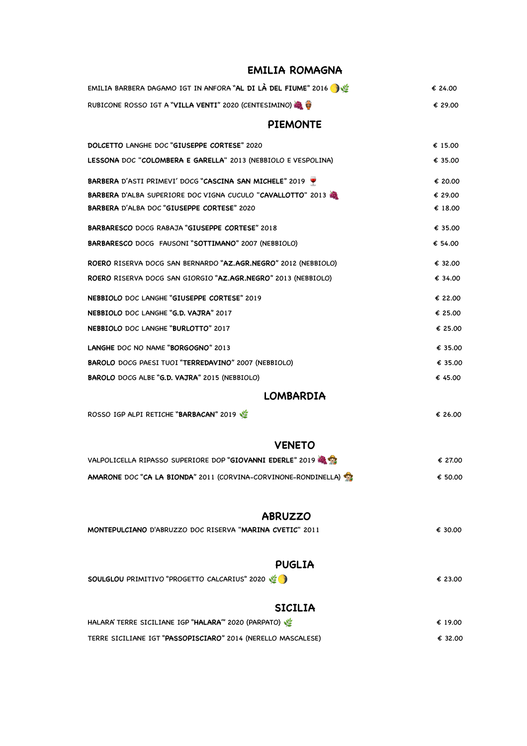#### **EMILIA ROMAGNA**

| EMILIA BARBERA DAGAMO IGT IN ANFORA "AL DI LÀ DEL FIUME" 2016  | € 24.00 |
|----------------------------------------------------------------|---------|
| RUBICONE ROSSO IGT A "VILLA VENTI" 2020 (CENTESIMINO)          | € 29.00 |
| <b>PIEMONTE</b>                                                |         |
| DOLCETTO LANGHE DOC "GIUSEPPE CORTESE" 2020                    | € 15.00 |
| LESSONA DOC "COLOMBERA E GARELLA" 2013 (NEBBIOLO E VESPOLINA)  | € 35.00 |
| BARBERA D'ASTI PRIMEVI' DOCG "CASCINA SAN MICHELE" 2019        | € 20.00 |
| BARBERA D'ALBA SUPERIORE DOC VIGNA CUCULO "CAVALLOTTO" 2013    | € 29.00 |
| BARBERA D'ALBA DOC "GIUSEPPE CORTESE" 2020                     | € 18.00 |
| <b>BARBARESCO DOCG RABAJA "GIUSEPPE CORTESE" 2018</b>          | € 35.00 |
| BARBARESCO DOCG FAUSONI "SOTTIMANO" 2007 (NEBBIOLO)            | € 54.00 |
| ROERO RISERVA DOCG SAN BERNARDO "AZ.AGR.NEGRO" 2012 (NEBBIOLO) | € 32.00 |
| ROERO RISERVA DOCG SAN GIORGIO "AZ.AGR.NEGRO" 2013 (NEBBIOLO)  | € 34.00 |
| NEBBIOLO DOC LANGHE "GIUSEPPE CORTESE" 2019                    | € 22.00 |
| NEBBIOLO DOC LANGHE "G.D. VAJRA" 2017                          | € 25.00 |
| NEBBIOLO DOC LANGHE "BURLOTTO" 2017                            | € 25.00 |
| LANGHE DOC NO NAME "BORGOGNO" 2013                             | € 35.00 |
| BAROLO DOCG PAESI TUOI "TERREDAVINO" 2007 (NEBBIOLO)           | € 35.00 |
| BAROLO DOCG ALBE "G.D. VAJRA" 2015 (NEBBIOLO)                  | € 45.00 |
| <b>LOMBARDIA</b>                                               |         |
| ROSSO IGP ALPI RETICHE "BARBACAN" 2019                         | € 26.00 |
| <b>VENETO</b>                                                  |         |
| VALPOLICELLA RIPASSO SUPERIORE DOP "GIOVANNI EDERLE" 2019      | € 27.00 |
| AMARONE DOC "CA LA BIONDA" 2011 (CORVINA-CORVINONE-RONDINELLA) | € 50.00 |
| <b>ABRUZZO</b>                                                 |         |
| MONTEPULCIANO D'ABRUZZO DOC RISERVA "MARINA CVETIC" 2011       | € 30.00 |
|                                                                |         |
| <b>PUGLIA</b>                                                  |         |
| SOULGLOU PRIMITIVO "PROGETTO CALCARIUS" 2020                   | € 23.00 |
| <b>SICILIA</b>                                                 |         |
| HALARA' TERRE SICILIANE IGP "HALARA" 2020 (PARPATO)            | € 19.00 |
| TERRE SICILIANE IGT "PASSOPISCIARO" 2014 (NERELLO MASCALESE)   | € 32.00 |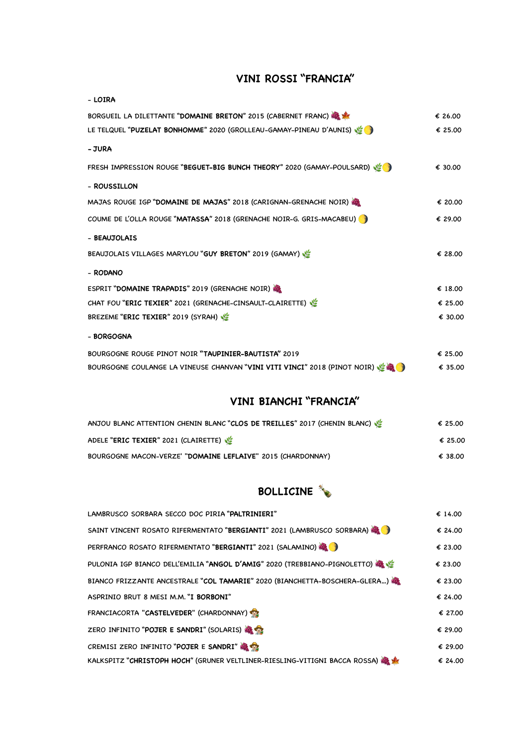### **VINI ROSSI "FRANCIA"**

| - LOIRA                                                                                             |         |
|-----------------------------------------------------------------------------------------------------|---------|
| BORGUEIL LA DILETTANTE "DOMAINE BRETON" 2015 (CABERNET FRANC)                                       | € 26.00 |
| LE TELQUEL "PUZELAT BONHOMME" 2020 (GROLLEAU-GAMAY-PINEAU D'AUNIS)                                  | € 25.00 |
| - JURA                                                                                              |         |
| FRESH IMPRESSION ROUGE "BEGUET-BIG BUNCH THEORY" 2020 (GAMAY-POULSARD)                              | € 30.00 |
| - ROUSSILLON                                                                                        |         |
| MAJAS ROUGE IGP "DOMAINE DE MAJAS" 2018 (CARIGNAN-GRENACHE NOIR)                                    | € 20.00 |
| COUME DE L'OLLA ROUGE "MATASSA" 2018 (GRENACHE NOIR-G. GRIS-MACABEU)                                | € 29.00 |
| - BEAUJOLAIS                                                                                        |         |
| BEAUJOLAIS VILLAGES MARYLOU "GUY BRETON" 2019 (GAMAY)                                               | € 28.00 |
| - RODANO                                                                                            |         |
| ESPRIT "DOMAINE TRAPADIS" 2019 (GRENACHE NOIR)                                                      | € 18.00 |
| CHAT FOU "ERIC TEXIER" 2021 (GRENACHE-CINSAULT-CLAIRETTE)                                           | € 25.00 |
| BREZEME "ERIC TEXIER" 2019 (SYRAH)                                                                  | € 30.00 |
| - BORGOGNA                                                                                          |         |
| BOURGOGNE ROUGE PINOT NOIR "TAUPINIER-BAUTISTA" 2019                                                | € 25.00 |
| BOURGOGNE COULANGE LA VINEUSE CHANVAN "VINI VITI VINCI" 2018 (PINOT NOIR) $\mathcal{C}(\mathbb{R})$ | € 35.00 |

#### **VINI BIANCHI "FRANCIA"**

| ANJOU BLANC ATTENTION CHENIN BLANC "CLOS DE TREILLES" 2017 (CHENIN BLANC) | € 25.00 |
|---------------------------------------------------------------------------|---------|
| ADELE "ERIC TEXIER" 2021 (CLAIRETTE)                                      | € 25.00 |
| BOURGOGNE MACON-VERZE' "DOMAINE LEFLAIVE" 2015 (CHARDONNAY)               | € 38.00 |

# **BOLLICINE**

| LAMBRUSCO SORBARA SECCO DOC PIRIA "PALTRINIERI"                                | € 14.00 |
|--------------------------------------------------------------------------------|---------|
| SAINT VINCENT ROSATO RIFERMENTATO "BERGIANTI" 2021 (LAMBRUSCO SORBARA)         | € 24.00 |
| PERFRANCO ROSATO RIFERMENTATO "BERGIANTI" 2021 (SALAMINO)                      | € 23.00 |
| PULONIA IGP BIANCO DELL'EMILIA "ANGOL D'AMIG" 2020 (TREBBIANO-PIGNOLETTO)      | € 23.00 |
| BIANCO FRIZZANTE ANCESTRALE "COL TAMARIE" 2020 (BIANCHETTA-BOSCHERA-GLERA)     | € 23.00 |
| ASPRINIO BRUT 8 MESI M.M. "I BORBONI"                                          | € 24.00 |
| FRANCIACORTA "CASTELVEDER" (CHARDONNAY)                                        | € 27.00 |
| ZERO INFINITO "POJER E SANDRI" (SOLARIS)                                       | € 29.00 |
| CREMISI ZERO INFINITO "POJER E SANDRI"                                         | € 29.00 |
| KALKSPITZ "CHRISTOPH HOCH" (GRUNER VELTLINER-RIESLING-VITIGNI BACCA ROSSA) & * | € 24.00 |